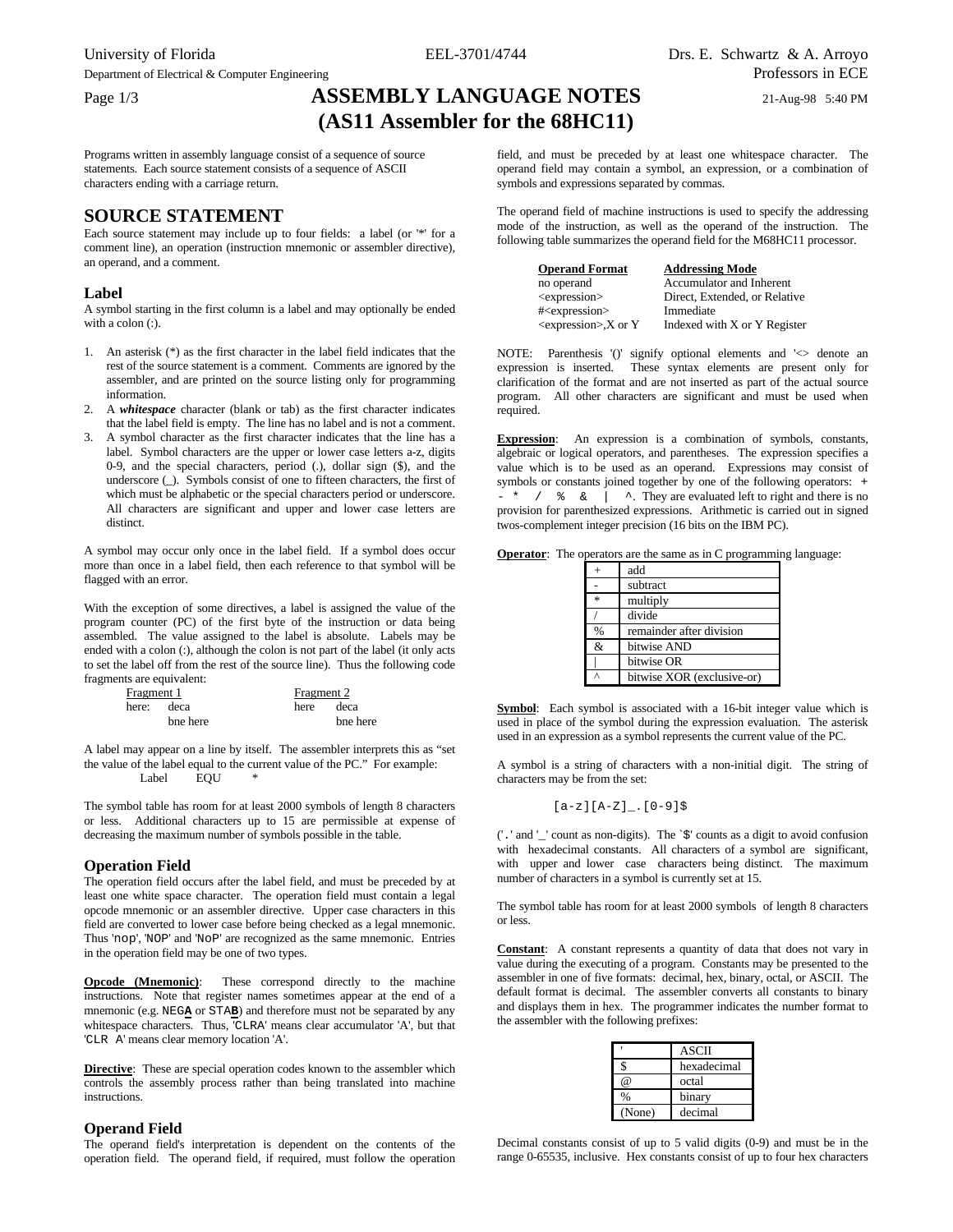Department of Electrical & Computer Engineering Professors in ECE

## Page 1/3 **ASSEMBLY LANGUAGE NOTES** 21-Aug-98 5:40 PM **(AS11 Assembler for the 68HC11)**

Programs written in assembly language consist of a sequence of source statements. Each source statement consists of a sequence of ASCII characters ending with a carriage return.

### **SOURCE STATEMENT**

Each source statement may include up to four fields: a label (or '\*' for a comment line), an operation (instruction mnemonic or assembler directive), an operand, and a comment.

### **Label**

A symbol starting in the first column is a label and may optionally be ended with a colon (:).

- 1. An asterisk (\*) as the first character in the label field indicates that the rest of the source statement is a comment. Comments are ignored by the assembler, and are printed on the source listing only for programming information.
- 2. A *whitespace* character (blank or tab) as the first character indicates that the label field is empty. The line has no label and is not a comment.
- 3. A symbol character as the first character indicates that the line has a label. Symbol characters are the upper or lower case letters a-z, digits 0-9, and the special characters, period (.), dollar sign (\$), and the underscore (\_). Symbols consist of one to fifteen characters, the first of which must be alphabetic or the special characters period or underscore. All characters are significant and upper and lower case letters are distinct.

A symbol may occur only once in the label field. If a symbol does occur more than once in a label field, then each reference to that symbol will be flagged with an error.

With the exception of some directives, a label is assigned the value of the program counter (PC) of the first byte of the instruction or data being assembled. The value assigned to the label is absolute. Labels may be ended with a colon (:), although the colon is not part of the label (it only acts to set the label off from the rest of the source line). Thus the following code fragments are equivalent:

| Fragment 1 |            | Fragment 2 |          |
|------------|------------|------------|----------|
|            | here: deca | here       | deca     |
|            | bne here   |            | bne here |

A label may appear on a line by itself. The assembler interprets this as "set the value of the label equal to the current value of the PC." For example: Label **EOU** 

The symbol table has room for at least 2000 symbols of length 8 characters or less. Additional characters up to 15 are permissible at expense of decreasing the maximum number of symbols possible in the table.

### **Operation Field**

The operation field occurs after the label field, and must be preceded by at least one white space character. The operation field must contain a legal opcode mnemonic or an assembler directive. Upper case characters in this field are converted to lower case before being checked as a legal mnemonic. Thus 'nop', 'NOP' and 'NoP' are recognized as the same mnemonic. Entries in the operation field may be one of two types.

**Opcode (Mnemonic)**: These correspond directly to the machine instructions. Note that register names sometimes appear at the end of a mnemonic (e.g. NEG**A** or STA**B**) and therefore must not be separated by any whitespace characters. Thus, 'CLRA' means clear accumulator 'A', but that 'CLR A' means clear memory location 'A'.

**Directive**: These are special operation codes known to the assembler which controls the assembly process rather than being translated into machine instructions.

### **Operand Field**

The operand field's interpretation is dependent on the contents of the operation field. The operand field, if required, must follow the operation

field, and must be preceded by at least one whitespace character. The operand field may contain a symbol, an expression, or a combination of symbols and expressions separated by commas.

The operand field of machine instructions is used to specify the addressing mode of the instruction, as well as the operand of the instruction. The following table summarizes the operand field for the M68HC11 processor.

| <b>Operand Format</b>       | <b>Addressing Mode</b>        |
|-----------------------------|-------------------------------|
| no operand                  | Accumulator and Inherent      |
| <expression></expression>   | Direct, Extended, or Relative |
| # <expression></expression> | Immediate                     |
| $<$ expression $>$ ,X or Y  | Indexed with X or Y Register  |

NOTE: Parenthesis '()' signify optional elements and '<> denote an expression is inserted. These syntax elements are present only for clarification of the format and are not inserted as part of the actual source program. All other characters are significant and must be used when required.

**Expression**: An expression is a combination of symbols, constants, algebraic or logical operators, and parentheses. The expression specifies a value which is to be used as an operand. Expressions may consist of symbols or constants joined together by one of the following operators: +  $-$  \* /  $\frac{1}{6}$  & | ^. They are evaluated left to right and there is no provision for parenthesized expressions. Arithmetic is carried out in signed twos-complement integer precision (16 bits on the IBM PC).

|  | <b>Operator:</b> The operators are the same as in C programming language: |  |  |  |  |
|--|---------------------------------------------------------------------------|--|--|--|--|
|--|---------------------------------------------------------------------------|--|--|--|--|

|               | add                        |
|---------------|----------------------------|
|               | subtract                   |
| $\frac{1}{2}$ | multiply                   |
|               | divide                     |
| %             | remainder after division   |
| &             | bitwise AND                |
|               | bitwise OR                 |
|               | bitwise XOR (exclusive-or) |

**Symbol**: Each symbol is associated with a 16-bit integer value which is used in place of the symbol during the expression evaluation. The asterisk used in an expression as a symbol represents the current value of the PC.

A symbol is a string of characters with a non-initial digit. The string of characters may be from the set:

 $[a-z][A-Z]_{1}$ .  $[0-9]\$ 

('.' and '\_' count as non-digits). The `\$' counts as a digit to avoid confusion with hexadecimal constants. All characters of a symbol are significant, with upper and lower case characters being distinct. The maximum number of characters in a symbol is currently set at 15.

The symbol table has room for at least 2000 symbols of length 8 characters or less.

**Constant**: A constant represents a quantity of data that does not vary in value during the executing of a program. Constants may be presented to the assembler in one of five formats: decimal, hex, binary, octal, or ASCII. The default format is decimal. The assembler converts all constants to binary and displays them in hex. The programmer indicates the number format to the assembler with the following prefixes:

|        | <b>ASCII</b> |
|--------|--------------|
|        | hexadecimal  |
| @      | octal        |
|        | binary       |
| (None) | decimal      |

Decimal constants consist of up to 5 valid digits (0-9) and must be in the range 0-65535, inclusive. Hex constants consist of up to four hex characters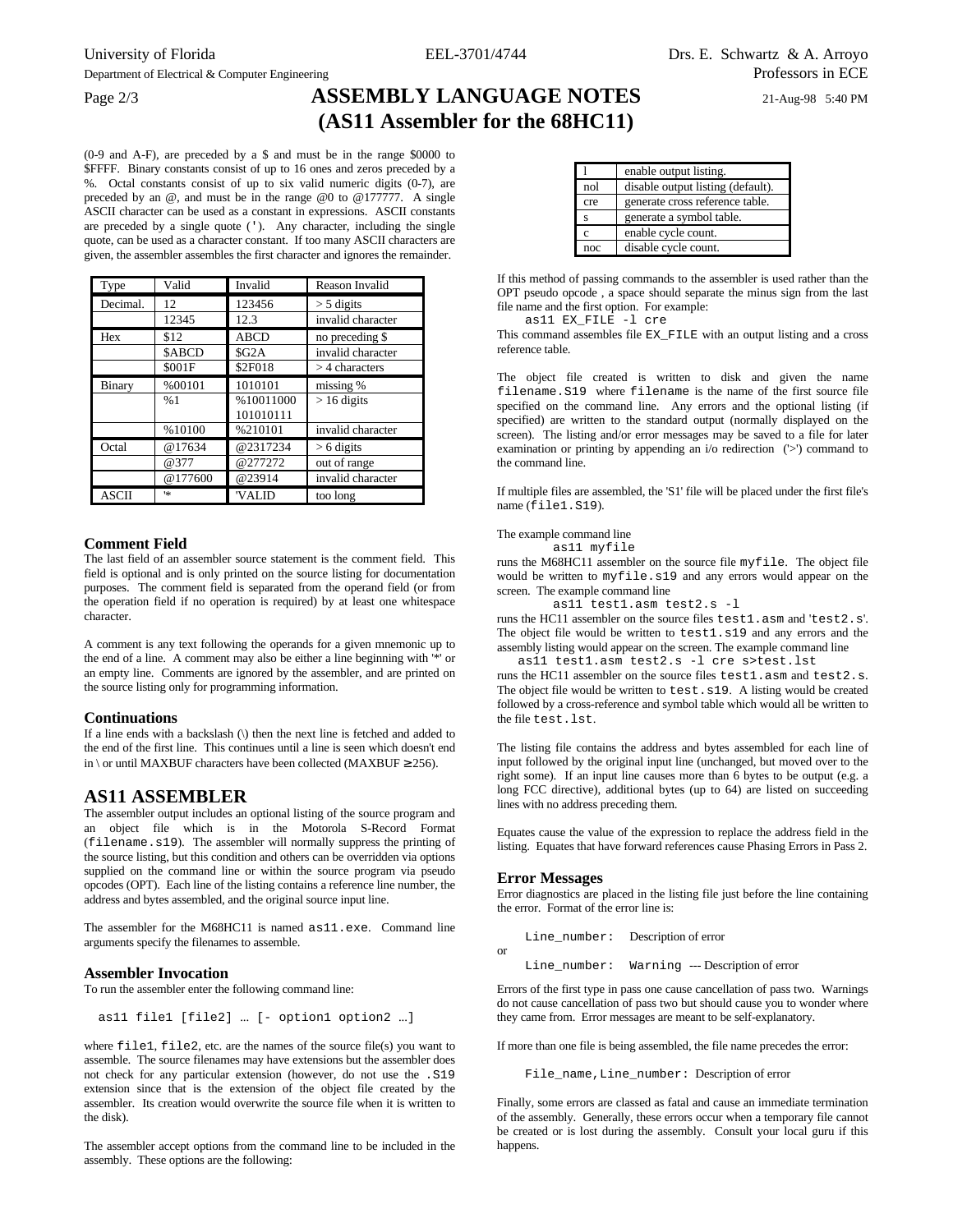# Page 2/3 **ASSEMBLY LANGUAGE NOTES** 21-Aug-98 5:40 PM **(AS11 Assembler for the 68HC11)**

(0-9 and A-F), are preceded by a \$ and must be in the range \$0000 to **\$FFFF.** Binary constants consist of up to 16 ones and zeros preceded by a %. Octal constants consist of up to six valid numeric digits (0-7), are preceded by an @, and must be in the range @0 to @177777. A single ASCII character can be used as a constant in expressions. ASCII constants are preceded by a single quote ('). Any character, including the single quote, can be used as a character constant. If too many ASCII characters are given, the assembler assembles the first character and ignores the remainder.

| Type         | Valid        | Invalid                | Reason Invalid    |
|--------------|--------------|------------------------|-------------------|
| Decimal.     | 12           | 123456                 | $>$ 5 digits      |
|              | 12345        | 12.3                   | invalid character |
| Hex          | \$12         | <b>ABCD</b>            | no preceding \$   |
|              | <b>SABCD</b> | \$G <sub>2</sub> A     | invalid character |
|              | \$001F       | \$2F018                | $>$ 4 characters  |
| Binary       | %00101       | 1010101                | missing %         |
|              | %1           | %10011000<br>101010111 | $> 16$ digits     |
|              | %10100       | %210101                | invalid character |
| Octal        | @17634       | @2317234               | $> 6$ digits      |
|              | @377         | @277272                | out of range      |
|              | @177600      | @23914                 | invalid character |
| <b>ASCII</b> | 1sk          | 'VALID                 | too long          |

### **Comment Field**

The last field of an assembler source statement is the comment field. This field is optional and is only printed on the source listing for documentation purposes. The comment field is separated from the operand field (or from the operation field if no operation is required) by at least one whitespace character.

A comment is any text following the operands for a given mnemonic up to the end of a line. A comment may also be either a line beginning with '\*' or an empty line. Comments are ignored by the assembler, and are printed on the source listing only for programming information.

### **Continuations**

If a line ends with a backslash (\) then the next line is fetched and added to the end of the first line. This continues until a line is seen which doesn't end in \ or until MAXBUF characters have been collected (MAXBUF  $\geq$  256).

### **AS11 ASSEMBLER**

The assembler output includes an optional listing of the source program and an object file which is in the Motorola S-Record Format (filename.s19). The assembler will normally suppress the printing of the source listing, but this condition and others can be overridden via options supplied on the command line or within the source program via pseudo opcodes (OPT). Each line of the listing contains a reference line number, the address and bytes assembled, and the original source input line.

The assembler for the M68HC11 is named as11.exe. Command line arguments specify the filenames to assemble.

### **Assembler Invocation**

To run the assembler enter the following command line:

as11 file1 [file2] ... [- option1 option2 ...]

where file1, file2, etc. are the names of the source file(s) you want to assemble. The source filenames may have extensions but the assembler does not check for any particular extension (however, do not use the .S19 extension since that is the extension of the object file created by the assembler. Its creation would overwrite the source file when it is written to the disk).

The assembler accept options from the command line to be included in the assembly. These options are the following:

|     | enable output listing.            |
|-----|-----------------------------------|
| nol | disable output listing (default). |
| cre | generate cross reference table.   |
| S   | generate a symbol table.          |
| c   | enable cycle count.               |
| noc | disable cycle count.              |

If this method of passing commands to the assembler is used rather than the OPT pseudo opcode , a space should separate the minus sign from the last file name and the first option. For example:

as11 EX\_FILE -l cre

This command assembles file EX\_FILE with an output listing and a cross reference table.

The object file created is written to disk and given the name filename.S19 where filename is the name of the first source file specified on the command line. Any errors and the optional listing (if specified) are written to the standard output (normally displayed on the screen). The listing and/or error messages may be saved to a file for later examination or printing by appending an i/o redirection ('>') command to the command line.

If multiple files are assembled, the 'S1' file will be placed under the first file's name (file1.S19).

#### The example command line

as11 myfile

runs the M68HC11 assembler on the source file myfile. The object file would be written to myfile.s19 and any errors would appear on the screen. The example command line

```
as11 test1.asm test2.s -l
```
runs the HC11 assembler on the source files test1.asm and 'test2.s'. The object file would be written to test1.s19 and any errors and the assembly listing would appear on the screen. The example command line

as11 test1.asm test2.s -l cre s>test.lst runs the HC11 assembler on the source files test1.asm and test2.s. The object file would be written to test.s19. A listing would be created followed by a cross-reference and symbol table which would all be written to the file test.lst.

The listing file contains the address and bytes assembled for each line of input followed by the original input line (unchanged, but moved over to the right some). If an input line causes more than 6 bytes to be output (e.g. a long FCC directive), additional bytes (up to 64) are listed on succeeding lines with no address preceding them.

Equates cause the value of the expression to replace the address field in the listing. Equates that have forward references cause Phasing Errors in Pass 2.

#### **Error Messages**

or

Error diagnostics are placed in the listing file just before the line containing the error. Format of the error line is:

Line\_number: Description of error

Line\_number: Warning --- Description of error

Errors of the first type in pass one cause cancellation of pass two. Warnings do not cause cancellation of pass two but should cause you to wonder where they came from. Error messages are meant to be self-explanatory.

If more than one file is being assembled, the file name precedes the error:

File\_name,Line\_number: Description of error

Finally, some errors are classed as fatal and cause an immediate termination of the assembly. Generally, these errors occur when a temporary file cannot be created or is lost during the assembly. Consult your local guru if this happens.